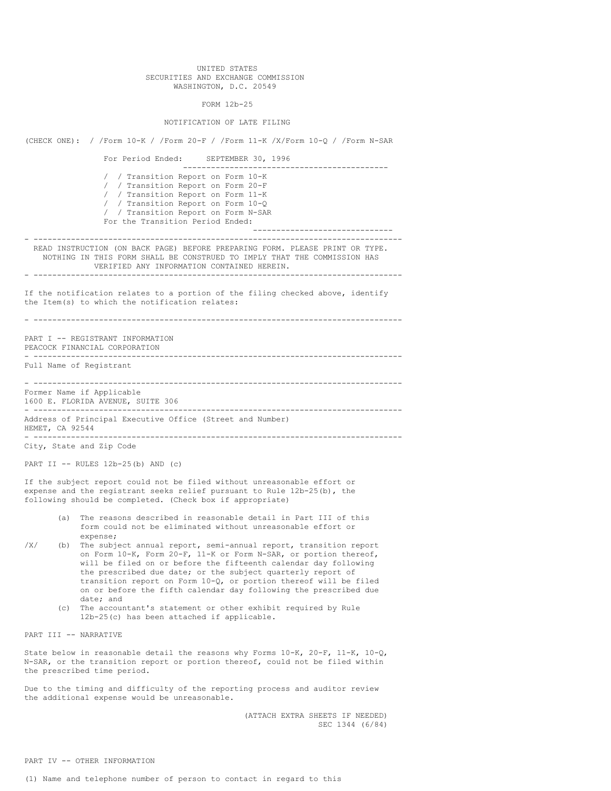## UNITED STATES SECURITIES AND EXCHANGE COMMISSION WASHINGTON, D.C. 20549

## FORM 12b-25

## NOTIFICATION OF LATE FILING

(CHECK ONE): / /Form 10-K / /Form 20-F / /Form 11-K /X/Form 10-Q / /Form N-SAR For Period Ended: SEPTEMBER 30, 1996 -------------------------------------------- / / Transition Report on Form 10-K / / Transition Report on Form 20-F / / Transition Report on Form 11-K / / Transition Report on Form 10-Q / / Transition Report on Form N-SAR For the Transition Period Ended: ------------------------------ - ------------------------------------------------------------------------------- READ INSTRUCTION (ON BACK PAGE) BEFORE PREPARING FORM. PLEASE PRINT OR TYPE. NOTHING IN THIS FORM SHALL BE CONSTRUED TO IMPLY THAT THE COMMISSION HAS VERIFIED ANY INFORMATION CONTAINED HEREIN. - ------------------------------------------------------------------------------- If the notification relates to a portion of the filing checked above, identify the Item(s) to which the notification relates: - ------------------------------------------------------------------------------- PART I -- REGISTRANT INFORMATION PEACOCK FINANCIAL CORPORATION - ------------------------------------------------------------------------------- Full Name of Registrant - ------------------------------------------------------------------------------- Former Name if Applicable 1600 E. FLORIDA AVENUE, SUITE 306 - ------------------------------------------------------------------------------- Address of Principal Executive Office (Street and Number) HEMET, CA 92544 - ------------------------------------------------------------------------------- City, State and Zip Code PART II  $-$  RULES  $12b-25(b)$  AND (c) If the subject report could not be filed without unreasonable effort or expense and the registrant seeks relief pursuant to Rule 12b-25(b), the following should be completed. (Check box if appropriate) (a) The reasons described in reasonable detail in Part III of this form could not be eliminated without unreasonable effort or expense; /X/ (b) The subject annual report, semi-annual report, transition report on Form 10-K, Form 20-F, 11-K or Form N-SAR, or portion thereof, will be filed on or before the fifteenth calendar day following the prescribed due date; or the subject quarterly report of transition report on Form 10-Q, or portion thereof will be filed on or before the fifth calendar day following the prescribed due date; and (c) The accountant's statement or other exhibit required by Rule 12b-25(c) has been attached if applicable. PART III -- NARRATIVE State below in reasonable detail the reasons why Forms 10-K, 20-F, 11-K, 10-Q, N-SAR, or the transition report or portion thereof, could not be filed within the prescribed time period. Due to the timing and difficulty of the reporting process and auditor review the additional expense would be unreasonable. (ATTACH EXTRA SHEETS IF NEEDED) SEC 1344 (6/84)

PART IV -- OTHER INFORMATION